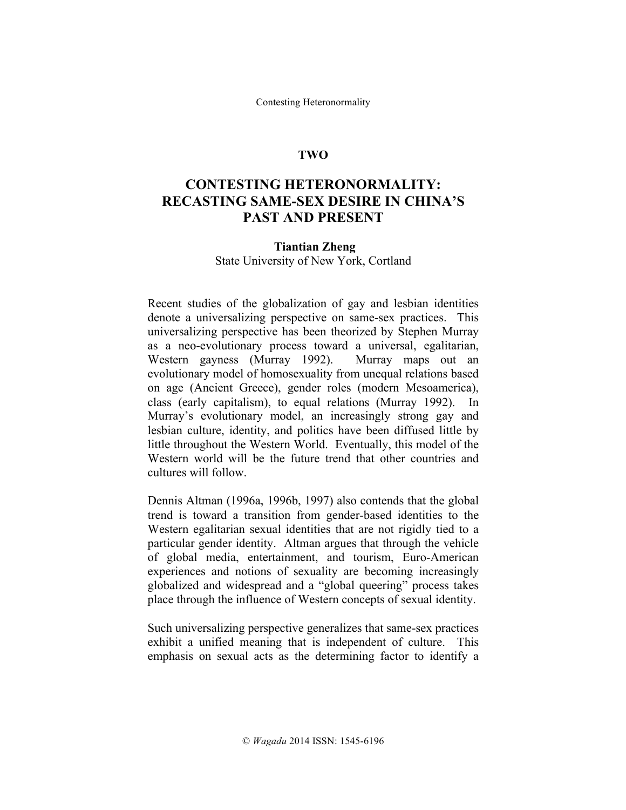Contesting Heteronormality

## **TWO**

# **CONTESTING HETERONORMALITY: RECASTING SAME-SEX DESIRE IN CHINA'S PAST AND PRESENT**

#### **Tiantian Zheng**

State University of New York, Cortland

Recent studies of the globalization of gay and lesbian identities denote a universalizing perspective on same-sex practices. This universalizing perspective has been theorized by Stephen Murray as a neo-evolutionary process toward a universal, egalitarian, Western gayness (Murray 1992). Murray maps out an evolutionary model of homosexuality from unequal relations based on age (Ancient Greece), gender roles (modern Mesoamerica), class (early capitalism), to equal relations (Murray 1992). In Murray's evolutionary model, an increasingly strong gay and lesbian culture, identity, and politics have been diffused little by little throughout the Western World. Eventually, this model of the Western world will be the future trend that other countries and cultures will follow.

Dennis Altman (1996a, 1996b, 1997) also contends that the global trend is toward a transition from gender-based identities to the Western egalitarian sexual identities that are not rigidly tied to a particular gender identity. Altman argues that through the vehicle of global media, entertainment, and tourism, Euro-American experiences and notions of sexuality are becoming increasingly globalized and widespread and a "global queering" process takes place through the influence of Western concepts of sexual identity.

Such universalizing perspective generalizes that same-sex practices exhibit a unified meaning that is independent of culture. This emphasis on sexual acts as the determining factor to identify a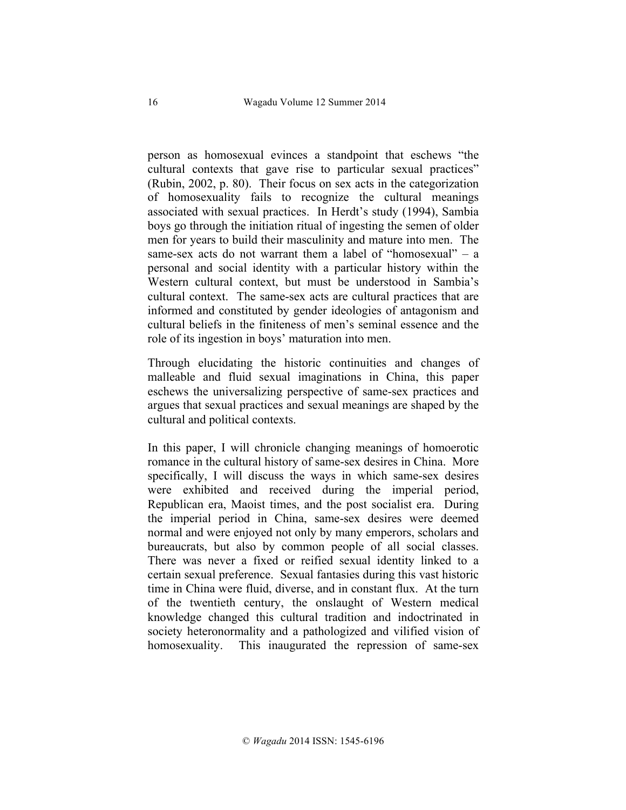person as homosexual evinces a standpoint that eschews "the cultural contexts that gave rise to particular sexual practices" (Rubin, 2002, p. 80). Their focus on sex acts in the categorization of homosexuality fails to recognize the cultural meanings associated with sexual practices. In Herdt's study (1994), Sambia boys go through the initiation ritual of ingesting the semen of older men for years to build their masculinity and mature into men. The same-sex acts do not warrant them a label of "homosexual" – a personal and social identity with a particular history within the Western cultural context, but must be understood in Sambia's cultural context. The same-sex acts are cultural practices that are informed and constituted by gender ideologies of antagonism and cultural beliefs in the finiteness of men's seminal essence and the role of its ingestion in boys' maturation into men.

Through elucidating the historic continuities and changes of malleable and fluid sexual imaginations in China, this paper eschews the universalizing perspective of same-sex practices and argues that sexual practices and sexual meanings are shaped by the cultural and political contexts.

In this paper, I will chronicle changing meanings of homoerotic romance in the cultural history of same-sex desires in China. More specifically, I will discuss the ways in which same-sex desires were exhibited and received during the imperial period, Republican era, Maoist times, and the post socialist era. During the imperial period in China, same-sex desires were deemed normal and were enjoyed not only by many emperors, scholars and bureaucrats, but also by common people of all social classes. There was never a fixed or reified sexual identity linked to a certain sexual preference. Sexual fantasies during this vast historic time in China were fluid, diverse, and in constant flux. At the turn of the twentieth century, the onslaught of Western medical knowledge changed this cultural tradition and indoctrinated in society heteronormality and a pathologized and vilified vision of homosexuality. This inaugurated the repression of same-sex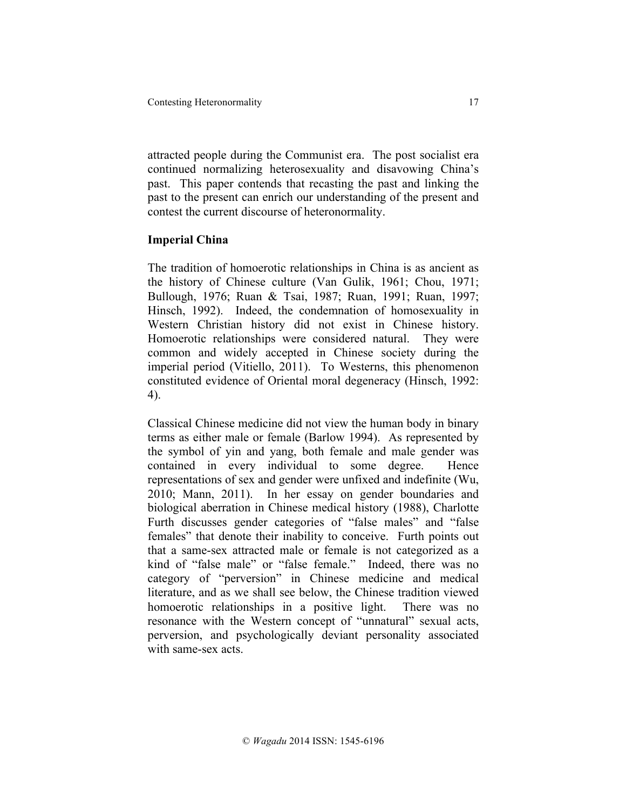attracted people during the Communist era. The post socialist era continued normalizing heterosexuality and disavowing China's past. This paper contends that recasting the past and linking the past to the present can enrich our understanding of the present and contest the current discourse of heteronormality.

# **Imperial China**

The tradition of homoerotic relationships in China is as ancient as the history of Chinese culture (Van Gulik, 1961; Chou, 1971; Bullough, 1976; Ruan & Tsai, 1987; Ruan, 1991; Ruan, 1997; Hinsch, 1992). Indeed, the condemnation of homosexuality in Western Christian history did not exist in Chinese history. Homoerotic relationships were considered natural. They were common and widely accepted in Chinese society during the imperial period (Vitiello, 2011). To Westerns, this phenomenon constituted evidence of Oriental moral degeneracy (Hinsch, 1992: 4).

Classical Chinese medicine did not view the human body in binary terms as either male or female (Barlow 1994). As represented by the symbol of yin and yang, both female and male gender was contained in every individual to some degree. Hence representations of sex and gender were unfixed and indefinite (Wu, 2010; Mann, 2011). In her essay on gender boundaries and biological aberration in Chinese medical history (1988), Charlotte Furth discusses gender categories of "false males" and "false females" that denote their inability to conceive. Furth points out that a same-sex attracted male or female is not categorized as a kind of "false male" or "false female." Indeed, there was no category of "perversion" in Chinese medicine and medical literature, and as we shall see below, the Chinese tradition viewed homoerotic relationships in a positive light. There was no resonance with the Western concept of "unnatural" sexual acts, perversion, and psychologically deviant personality associated with same-sex acts.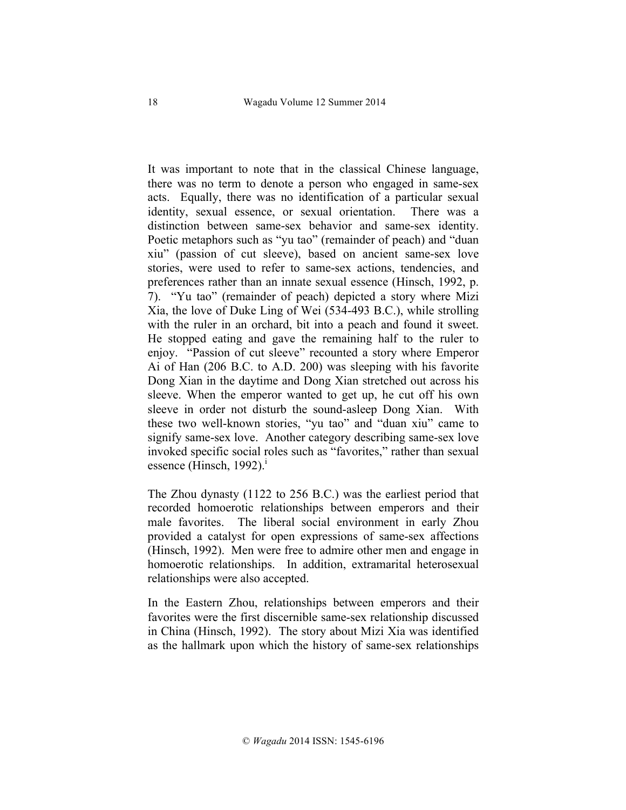It was important to note that in the classical Chinese language, there was no term to denote a person who engaged in same-sex acts. Equally, there was no identification of a particular sexual identity, sexual essence, or sexual orientation. There was a distinction between same-sex behavior and same-sex identity. Poetic metaphors such as "yu tao" (remainder of peach) and "duan xiu" (passion of cut sleeve), based on ancient same-sex love stories, were used to refer to same-sex actions, tendencies, and preferences rather than an innate sexual essence (Hinsch, 1992, p. 7). "Yu tao" (remainder of peach) depicted a story where Mizi Xia, the love of Duke Ling of Wei (534-493 B.C.), while strolling with the ruler in an orchard, bit into a peach and found it sweet. He stopped eating and gave the remaining half to the ruler to enjoy. "Passion of cut sleeve" recounted a story where Emperor Ai of Han (206 B.C. to A.D. 200) was sleeping with his favorite Dong Xian in the daytime and Dong Xian stretched out across his sleeve. When the emperor wanted to get up, he cut off his own sleeve in order not disturb the sound-asleep Dong Xian. With these two well-known stories, "yu tao" and "duan xiu" came to signify same-sex love. Another category describing same-sex love invoked specific social roles such as "favorites," rather than sexual essence (Hinsch, 1992).<sup>i</sup>

The Zhou dynasty (1122 to 256 B.C.) was the earliest period that recorded homoerotic relationships between emperors and their male favorites. The liberal social environment in early Zhou provided a catalyst for open expressions of same-sex affections (Hinsch, 1992). Men were free to admire other men and engage in homoerotic relationships. In addition, extramarital heterosexual relationships were also accepted.

In the Eastern Zhou, relationships between emperors and their favorites were the first discernible same-sex relationship discussed in China (Hinsch, 1992). The story about Mizi Xia was identified as the hallmark upon which the history of same-sex relationships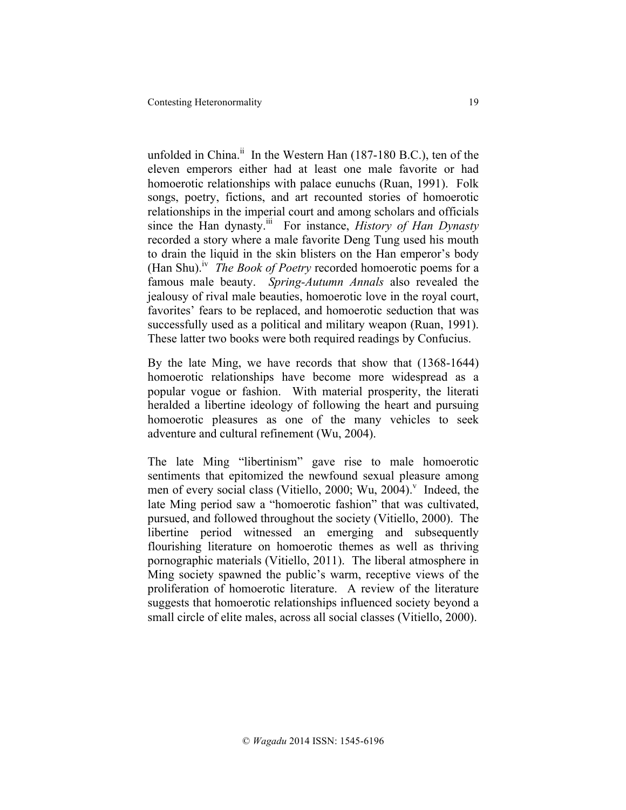unfolded in China.<sup>ii</sup> In the Western Han  $(187-180 \text{ B.C.})$ , ten of the eleven emperors either had at least one male favorite or had homoerotic relationships with palace eunuchs (Ruan, 1991). Folk songs, poetry, fictions, and art recounted stories of homoerotic relationships in the imperial court and among scholars and officials since the Han dynasty.<sup>iii</sup> For instance, *History of Han Dynasty* recorded a story where a male favorite Deng Tung used his mouth to drain the liquid in the skin blisters on the Han emperor's body (Han Shu).iv *The Book of Poetry* recorded homoerotic poems for a famous male beauty. *Spring-Autumn Annals* also revealed the jealousy of rival male beauties, homoerotic love in the royal court, favorites' fears to be replaced, and homoerotic seduction that was successfully used as a political and military weapon (Ruan, 1991). These latter two books were both required readings by Confucius.

By the late Ming, we have records that show that (1368-1644) homoerotic relationships have become more widespread as a popular vogue or fashion. With material prosperity, the literati heralded a libertine ideology of following the heart and pursuing homoerotic pleasures as one of the many vehicles to seek adventure and cultural refinement (Wu, 2004).

The late Ming "libertinism" gave rise to male homoerotic sentiments that epitomized the newfound sexual pleasure among men of every social class (Vitiello, 2000; Wu, 2004). Indeed, the late Ming period saw a "homoerotic fashion" that was cultivated, pursued, and followed throughout the society (Vitiello, 2000). The libertine period witnessed an emerging and subsequently flourishing literature on homoerotic themes as well as thriving pornographic materials (Vitiello, 2011). The liberal atmosphere in Ming society spawned the public's warm, receptive views of the proliferation of homoerotic literature. A review of the literature suggests that homoerotic relationships influenced society beyond a small circle of elite males, across all social classes (Vitiello, 2000).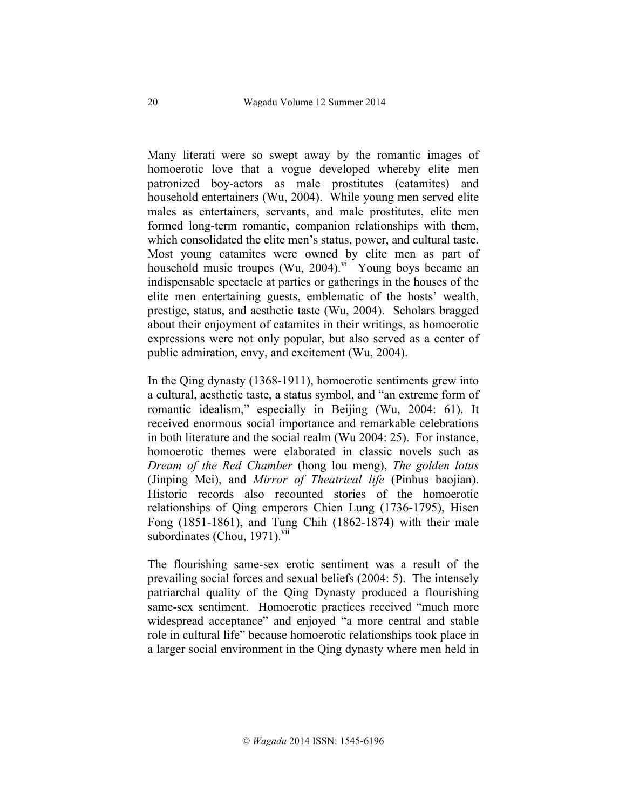Many literati were so swept away by the romantic images of homoerotic love that a vogue developed whereby elite men patronized boy-actors as male prostitutes (catamites) and household entertainers (Wu, 2004). While young men served elite males as entertainers, servants, and male prostitutes, elite men formed long-term romantic, companion relationships with them, which consolidated the elite men's status, power, and cultural taste. Most young catamites were owned by elite men as part of household music troupes  $(Wu, 2004)$ .<sup>vi</sup> Young boys became an indispensable spectacle at parties or gatherings in the houses of the elite men entertaining guests, emblematic of the hosts' wealth, prestige, status, and aesthetic taste (Wu, 2004). Scholars bragged about their enjoyment of catamites in their writings, as homoerotic expressions were not only popular, but also served as a center of public admiration, envy, and excitement (Wu, 2004).

In the Qing dynasty (1368-1911), homoerotic sentiments grew into a cultural, aesthetic taste, a status symbol, and "an extreme form of romantic idealism," especially in Beijing (Wu, 2004: 61). It received enormous social importance and remarkable celebrations in both literature and the social realm (Wu 2004: 25). For instance, homoerotic themes were elaborated in classic novels such as *Dream of the Red Chamber* (hong lou meng), *The golden lotus* (Jinping Mei), and *Mirror of Theatrical life* (Pinhus baojian). Historic records also recounted stories of the homoerotic relationships of Qing emperors Chien Lung (1736-1795), Hisen Fong (1851-1861), and Tung Chih (1862-1874) with their male subordinates (Chou, 1971). $\frac{vu}{l}$ 

The flourishing same-sex erotic sentiment was a result of the prevailing social forces and sexual beliefs (2004: 5). The intensely patriarchal quality of the Qing Dynasty produced a flourishing same-sex sentiment. Homoerotic practices received "much more widespread acceptance" and enjoyed "a more central and stable role in cultural life" because homoerotic relationships took place in a larger social environment in the Qing dynasty where men held in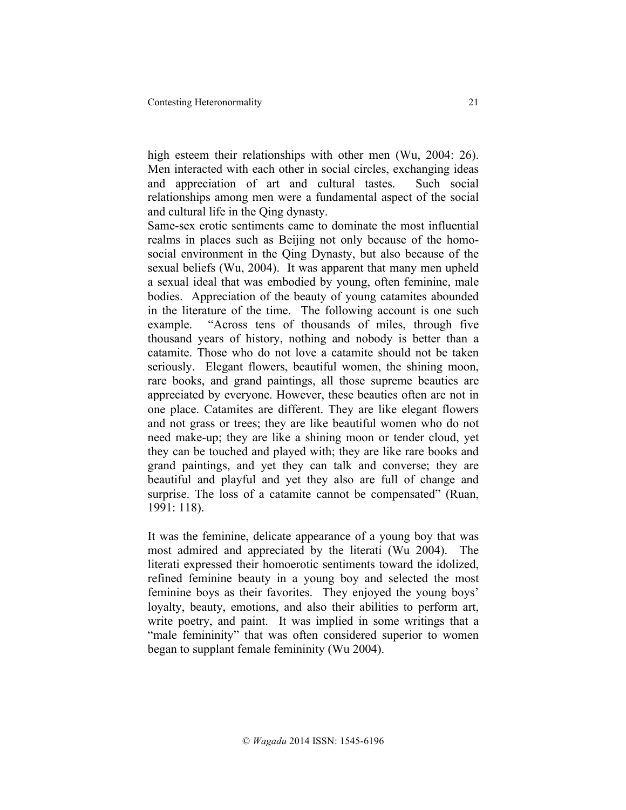high esteem their relationships with other men (Wu, 2004: 26). Men interacted with each other in social circles, exchanging ideas and appreciation of art and cultural tastes. Such social relationships among men were a fundamental aspect of the social and cultural life in the Qing dynasty.

Same-sex erotic sentiments came to dominate the most influential realms in places such as Beijing not only because of the homosocial environment in the Qing Dynasty, but also because of the sexual beliefs (Wu, 2004). It was apparent that many men upheld a sexual ideal that was embodied by young, often feminine, male bodies. Appreciation of the beauty of young catamites abounded in the literature of the time. The following account is one such example. "Across tens of thousands of miles, through five thousand years of history, nothing and nobody is better than a catamite. Those who do not love a catamite should not be taken seriously. Elegant flowers, beautiful women, the shining moon, rare books, and grand paintings, all those supreme beauties are appreciated by everyone. However, these beauties often are not in one place. Catamites are different. They are like elegant flowers and not grass or trees; they are like beautiful women who do not need make-up; they are like a shining moon or tender cloud, yet they can be touched and played with; they are like rare books and grand paintings, and yet they can talk and converse; they are beautiful and playful and yet they also are full of change and surprise. The loss of a catamite cannot be compensated" (Ruan, 1991: 118).

It was the feminine, delicate appearance of a young boy that was most admired and appreciated by the literati (Wu 2004). The literati expressed their homoerotic sentiments toward the idolized, refined feminine beauty in a young boy and selected the most feminine boys as their favorites. They enjoyed the young boys' loyalty, beauty, emotions, and also their abilities to perform art, write poetry, and paint. It was implied in some writings that a "male femininity" that was often considered superior to women began to supplant female femininity (Wu 2004).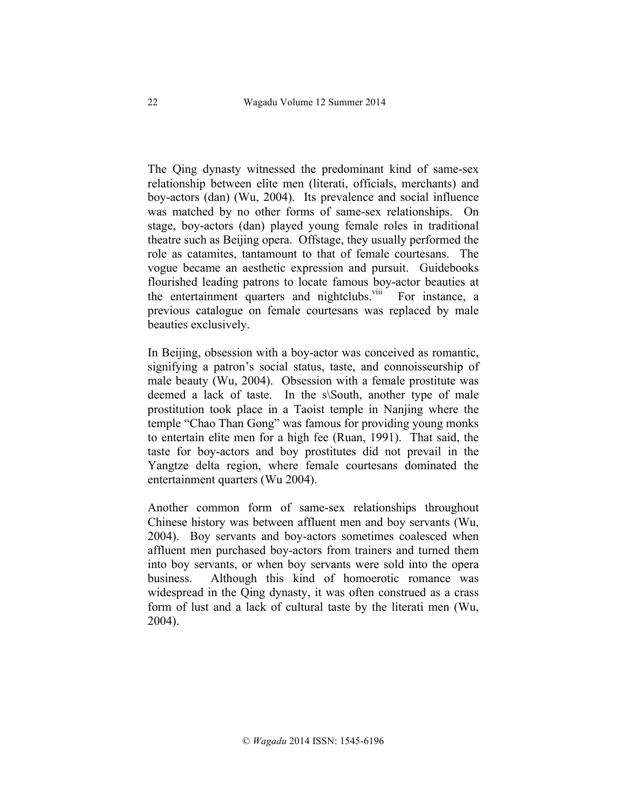The Qing dynasty witnessed the predominant kind of same-sex relationship between elite men (literati, officials, merchants) and boy-actors (dan) (Wu, 2004). Its prevalence and social influence was matched by no other forms of same-sex relationships. On stage, boy-actors (dan) played young female roles in traditional theatre such as Beijing opera. Offstage, they usually performed the role as catamites, tantamount to that of female courtesans. The vogue became an aesthetic expression and pursuit. Guidebooks flourished leading patrons to locate famous boy-actor beauties at the entertainment quarters and nightclubs.<sup>viii</sup> For instance, a previous catalogue on female courtesans was replaced by male beauties exclusively.

In Beijing, obsession with a boy-actor was conceived as romantic, signifying a patron's social status, taste, and connoisseurship of male beauty (Wu, 2004). Obsession with a female prostitute was deemed a lack of taste. In the s\South, another type of male prostitution took place in a Taoist temple in Nanjing where the temple "Chao Than Gong" was famous for providing young monks to entertain elite men for a high fee (Ruan, 1991). That said, the taste for boy-actors and boy prostitutes did not prevail in the Yangtze delta region, where female courtesans dominated the entertainment quarters (Wu 2004).

Another common form of same-sex relationships throughout Chinese history was between affluent men and boy servants (Wu, 2004). Boy servants and boy-actors sometimes coalesced when affluent men purchased boy-actors from trainers and turned them into boy servants, or when boy servants were sold into the opera business. Although this kind of homoerotic romance was widespread in the Qing dynasty, it was often construed as a crass form of lust and a lack of cultural taste by the literati men (Wu, 2004).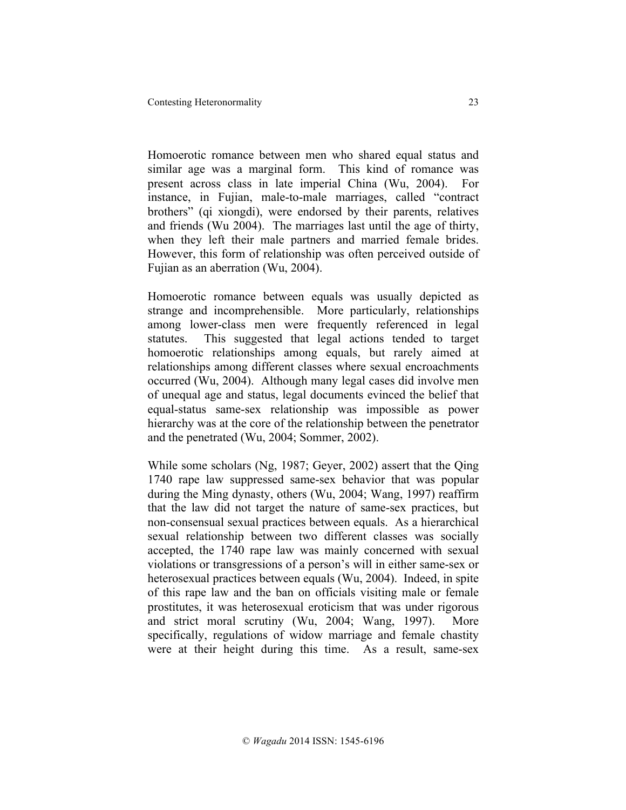Homoerotic romance between men who shared equal status and similar age was a marginal form. This kind of romance was present across class in late imperial China (Wu, 2004). For instance, in Fujian, male-to-male marriages, called "contract brothers" (qi xiongdi), were endorsed by their parents, relatives and friends (Wu 2004). The marriages last until the age of thirty, when they left their male partners and married female brides. However, this form of relationship was often perceived outside of Fujian as an aberration (Wu, 2004).

Homoerotic romance between equals was usually depicted as strange and incomprehensible. More particularly, relationships among lower-class men were frequently referenced in legal statutes. This suggested that legal actions tended to target homoerotic relationships among equals, but rarely aimed at relationships among different classes where sexual encroachments occurred (Wu, 2004). Although many legal cases did involve men of unequal age and status, legal documents evinced the belief that equal-status same-sex relationship was impossible as power hierarchy was at the core of the relationship between the penetrator and the penetrated (Wu, 2004; Sommer, 2002).

While some scholars (Ng, 1987; Geyer, 2002) assert that the Qing 1740 rape law suppressed same-sex behavior that was popular during the Ming dynasty, others (Wu, 2004; Wang, 1997) reaffirm that the law did not target the nature of same-sex practices, but non-consensual sexual practices between equals. As a hierarchical sexual relationship between two different classes was socially accepted, the 1740 rape law was mainly concerned with sexual violations or transgressions of a person's will in either same-sex or heterosexual practices between equals (Wu, 2004). Indeed, in spite of this rape law and the ban on officials visiting male or female prostitutes, it was heterosexual eroticism that was under rigorous and strict moral scrutiny (Wu, 2004; Wang, 1997). More specifically, regulations of widow marriage and female chastity were at their height during this time. As a result, same-sex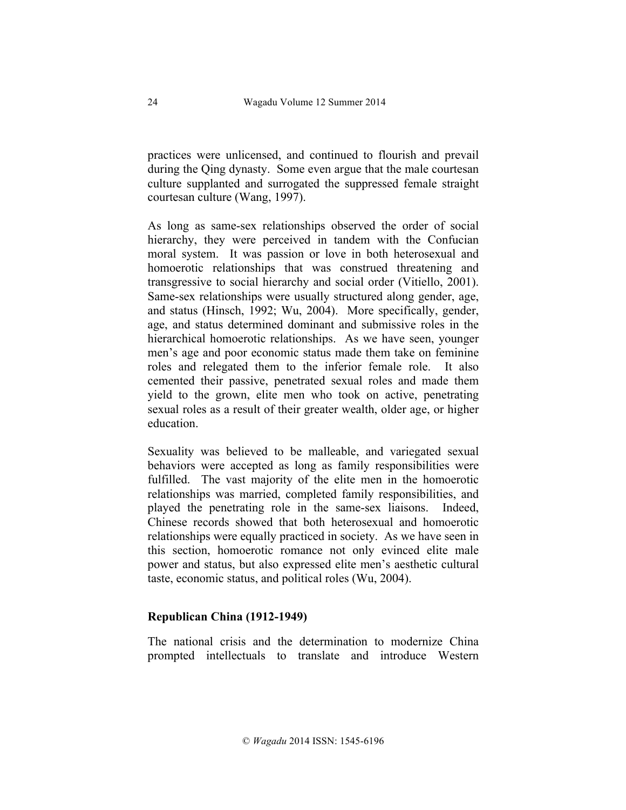practices were unlicensed, and continued to flourish and prevail during the Qing dynasty. Some even argue that the male courtesan culture supplanted and surrogated the suppressed female straight courtesan culture (Wang, 1997).

As long as same-sex relationships observed the order of social hierarchy, they were perceived in tandem with the Confucian moral system. It was passion or love in both heterosexual and homoerotic relationships that was construed threatening and transgressive to social hierarchy and social order (Vitiello, 2001). Same-sex relationships were usually structured along gender, age, and status (Hinsch, 1992; Wu, 2004). More specifically, gender, age, and status determined dominant and submissive roles in the hierarchical homoerotic relationships. As we have seen, younger men's age and poor economic status made them take on feminine roles and relegated them to the inferior female role. It also cemented their passive, penetrated sexual roles and made them yield to the grown, elite men who took on active, penetrating sexual roles as a result of their greater wealth, older age, or higher education.

Sexuality was believed to be malleable, and variegated sexual behaviors were accepted as long as family responsibilities were fulfilled. The vast majority of the elite men in the homoerotic relationships was married, completed family responsibilities, and played the penetrating role in the same-sex liaisons. Indeed, Chinese records showed that both heterosexual and homoerotic relationships were equally practiced in society. As we have seen in this section, homoerotic romance not only evinced elite male power and status, but also expressed elite men's aesthetic cultural taste, economic status, and political roles (Wu, 2004).

### **Republican China (1912-1949)**

The national crisis and the determination to modernize China prompted intellectuals to translate and introduce Western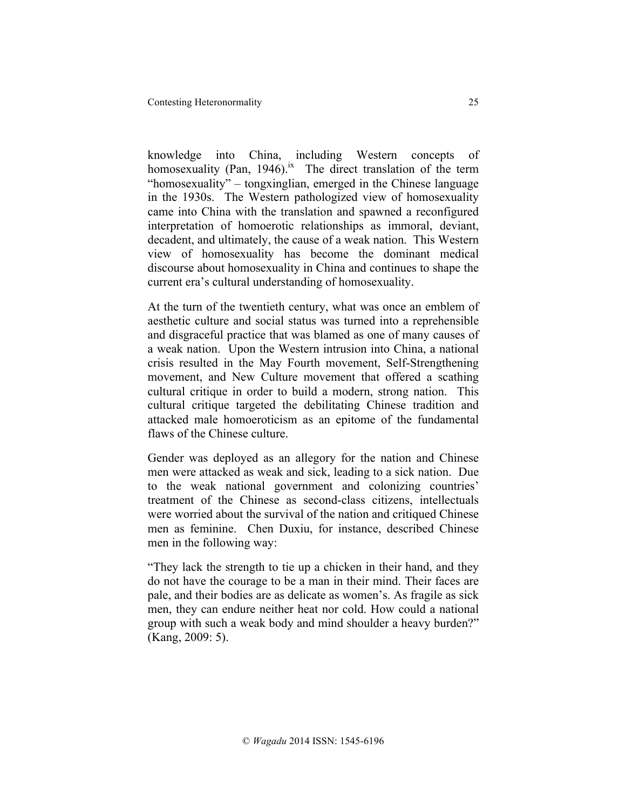knowledge into China, including Western concepts of homosexuality (Pan, 1946).<sup>ix</sup> The direct translation of the term "homosexuality" – tongxinglian, emerged in the Chinese language in the 1930s. The Western pathologized view of homosexuality came into China with the translation and spawned a reconfigured interpretation of homoerotic relationships as immoral, deviant, decadent, and ultimately, the cause of a weak nation. This Western view of homosexuality has become the dominant medical discourse about homosexuality in China and continues to shape the current era's cultural understanding of homosexuality.

At the turn of the twentieth century, what was once an emblem of aesthetic culture and social status was turned into a reprehensible and disgraceful practice that was blamed as one of many causes of a weak nation. Upon the Western intrusion into China, a national crisis resulted in the May Fourth movement, Self-Strengthening movement, and New Culture movement that offered a scathing cultural critique in order to build a modern, strong nation. This cultural critique targeted the debilitating Chinese tradition and attacked male homoeroticism as an epitome of the fundamental flaws of the Chinese culture.

Gender was deployed as an allegory for the nation and Chinese men were attacked as weak and sick, leading to a sick nation. Due to the weak national government and colonizing countries' treatment of the Chinese as second-class citizens, intellectuals were worried about the survival of the nation and critiqued Chinese men as feminine. Chen Duxiu, for instance, described Chinese men in the following way:

"They lack the strength to tie up a chicken in their hand, and they do not have the courage to be a man in their mind. Their faces are pale, and their bodies are as delicate as women's. As fragile as sick men, they can endure neither heat nor cold. How could a national group with such a weak body and mind shoulder a heavy burden?" (Kang, 2009: 5).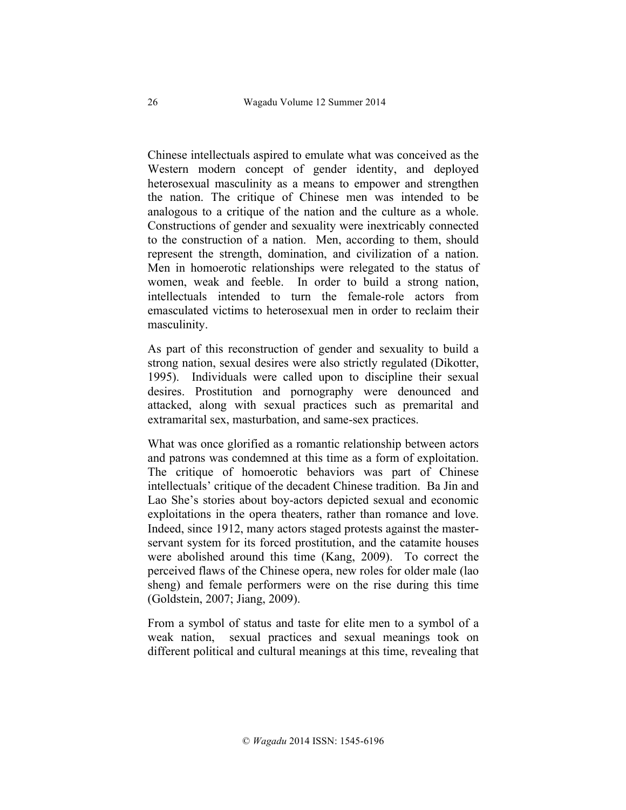Chinese intellectuals aspired to emulate what was conceived as the Western modern concept of gender identity, and deployed heterosexual masculinity as a means to empower and strengthen the nation. The critique of Chinese men was intended to be analogous to a critique of the nation and the culture as a whole. Constructions of gender and sexuality were inextricably connected to the construction of a nation. Men, according to them, should represent the strength, domination, and civilization of a nation. Men in homoerotic relationships were relegated to the status of women, weak and feeble. In order to build a strong nation, intellectuals intended to turn the female-role actors from emasculated victims to heterosexual men in order to reclaim their masculinity.

As part of this reconstruction of gender and sexuality to build a strong nation, sexual desires were also strictly regulated (Dikotter, 1995). Individuals were called upon to discipline their sexual desires. Prostitution and pornography were denounced and attacked, along with sexual practices such as premarital and extramarital sex, masturbation, and same-sex practices.

What was once glorified as a romantic relationship between actors and patrons was condemned at this time as a form of exploitation. The critique of homoerotic behaviors was part of Chinese intellectuals' critique of the decadent Chinese tradition. Ba Jin and Lao She's stories about boy-actors depicted sexual and economic exploitations in the opera theaters, rather than romance and love. Indeed, since 1912, many actors staged protests against the masterservant system for its forced prostitution, and the catamite houses were abolished around this time (Kang, 2009). To correct the perceived flaws of the Chinese opera, new roles for older male (lao sheng) and female performers were on the rise during this time (Goldstein, 2007; Jiang, 2009).

From a symbol of status and taste for elite men to a symbol of a weak nation, sexual practices and sexual meanings took on different political and cultural meanings at this time, revealing that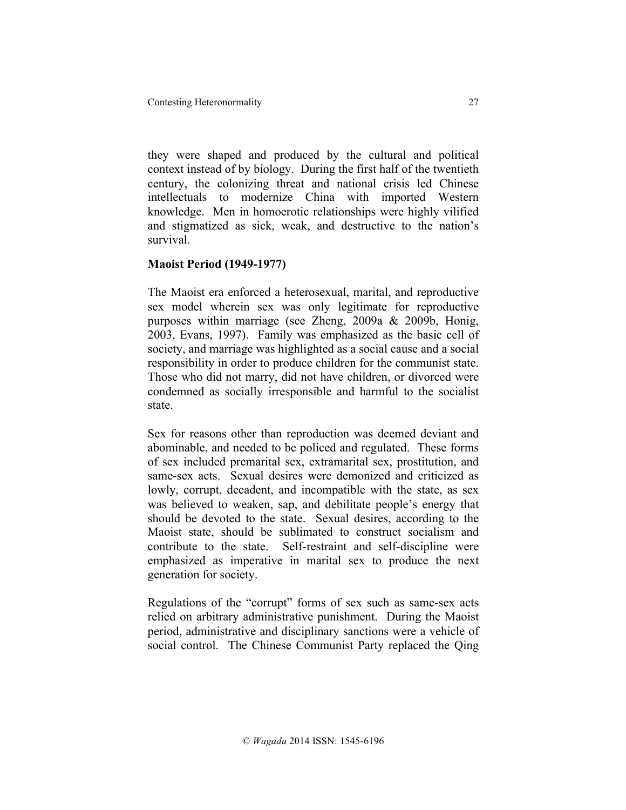they were shaped and produced by the cultural and political context instead of by biology. During the first half of the twentieth century, the colonizing threat and national crisis led Chinese intellectuals to modernize China with imported Western knowledge. Men in homoerotic relationships were highly vilified and stigmatized as sick, weak, and destructive to the nation's survival.

## **Maoist Period (1949-1977)**

The Maoist era enforced a heterosexual, marital, and reproductive sex model wherein sex was only legitimate for reproductive purposes within marriage (see Zheng, 2009a & 2009b, Honig, 2003, Evans, 1997). Family was emphasized as the basic cell of society, and marriage was highlighted as a social cause and a social responsibility in order to produce children for the communist state. Those who did not marry, did not have children, or divorced were condemned as socially irresponsible and harmful to the socialist state.

Sex for reasons other than reproduction was deemed deviant and abominable, and needed to be policed and regulated. These forms of sex included premarital sex, extramarital sex, prostitution, and same-sex acts. Sexual desires were demonized and criticized as lowly, corrupt, decadent, and incompatible with the state, as sex was believed to weaken, sap, and debilitate people's energy that should be devoted to the state. Sexual desires, according to the Maoist state, should be sublimated to construct socialism and contribute to the state. Self-restraint and self-discipline were emphasized as imperative in marital sex to produce the next generation for society.

Regulations of the "corrupt" forms of sex such as same-sex acts relied on arbitrary administrative punishment. During the Maoist period, administrative and disciplinary sanctions were a vehicle of social control. The Chinese Communist Party replaced the Qing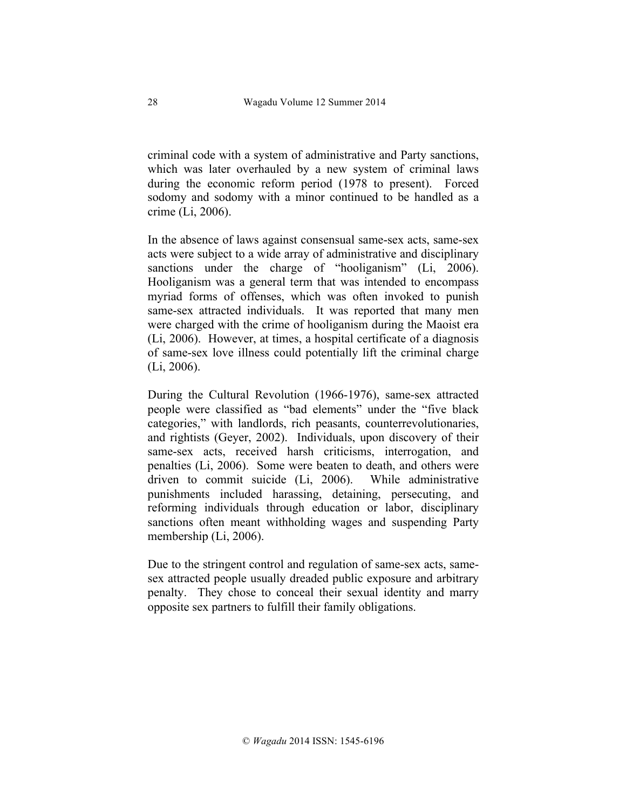criminal code with a system of administrative and Party sanctions, which was later overhauled by a new system of criminal laws during the economic reform period (1978 to present). Forced sodomy and sodomy with a minor continued to be handled as a crime (Li, 2006).

In the absence of laws against consensual same-sex acts, same-sex acts were subject to a wide array of administrative and disciplinary sanctions under the charge of "hooliganism" (Li, 2006). Hooliganism was a general term that was intended to encompass myriad forms of offenses, which was often invoked to punish same-sex attracted individuals. It was reported that many men were charged with the crime of hooliganism during the Maoist era (Li, 2006). However, at times, a hospital certificate of a diagnosis of same-sex love illness could potentially lift the criminal charge (Li, 2006).

During the Cultural Revolution (1966-1976), same-sex attracted people were classified as "bad elements" under the "five black categories," with landlords, rich peasants, counterrevolutionaries, and rightists (Geyer, 2002). Individuals, upon discovery of their same-sex acts, received harsh criticisms, interrogation, and penalties (Li, 2006). Some were beaten to death, and others were driven to commit suicide (Li, 2006). While administrative punishments included harassing, detaining, persecuting, and reforming individuals through education or labor, disciplinary sanctions often meant withholding wages and suspending Party membership (Li, 2006).

Due to the stringent control and regulation of same-sex acts, samesex attracted people usually dreaded public exposure and arbitrary penalty. They chose to conceal their sexual identity and marry opposite sex partners to fulfill their family obligations.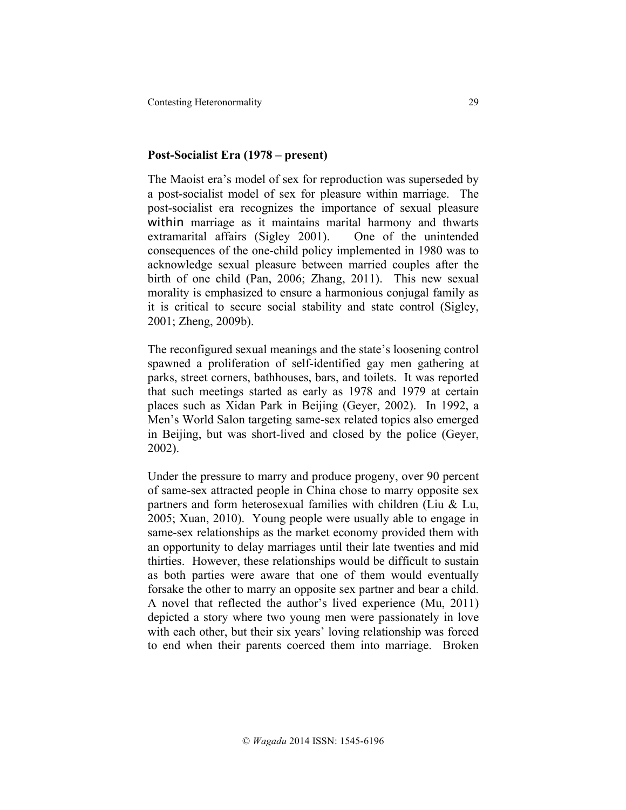Contesting Heteronormality 29

### **Post-Socialist Era (1978 – present)**

The Maoist era's model of sex for reproduction was superseded by a post-socialist model of sex for pleasure within marriage. The post-socialist era recognizes the importance of sexual pleasure within marriage as it maintains marital harmony and thwarts extramarital affairs (Sigley 2001). One of the unintended consequences of the one-child policy implemented in 1980 was to acknowledge sexual pleasure between married couples after the birth of one child (Pan, 2006; Zhang, 2011). This new sexual morality is emphasized to ensure a harmonious conjugal family as it is critical to secure social stability and state control (Sigley, 2001; Zheng, 2009b).

The reconfigured sexual meanings and the state's loosening control spawned a proliferation of self-identified gay men gathering at parks, street corners, bathhouses, bars, and toilets. It was reported that such meetings started as early as 1978 and 1979 at certain places such as Xidan Park in Beijing (Geyer, 2002). In 1992, a Men's World Salon targeting same-sex related topics also emerged in Beijing, but was short-lived and closed by the police (Geyer, 2002).

Under the pressure to marry and produce progeny, over 90 percent of same-sex attracted people in China chose to marry opposite sex partners and form heterosexual families with children (Liu & Lu, 2005; Xuan, 2010). Young people were usually able to engage in same-sex relationships as the market economy provided them with an opportunity to delay marriages until their late twenties and mid thirties. However, these relationships would be difficult to sustain as both parties were aware that one of them would eventually forsake the other to marry an opposite sex partner and bear a child. A novel that reflected the author's lived experience (Mu, 2011) depicted a story where two young men were passionately in love with each other, but their six years' loving relationship was forced to end when their parents coerced them into marriage. Broken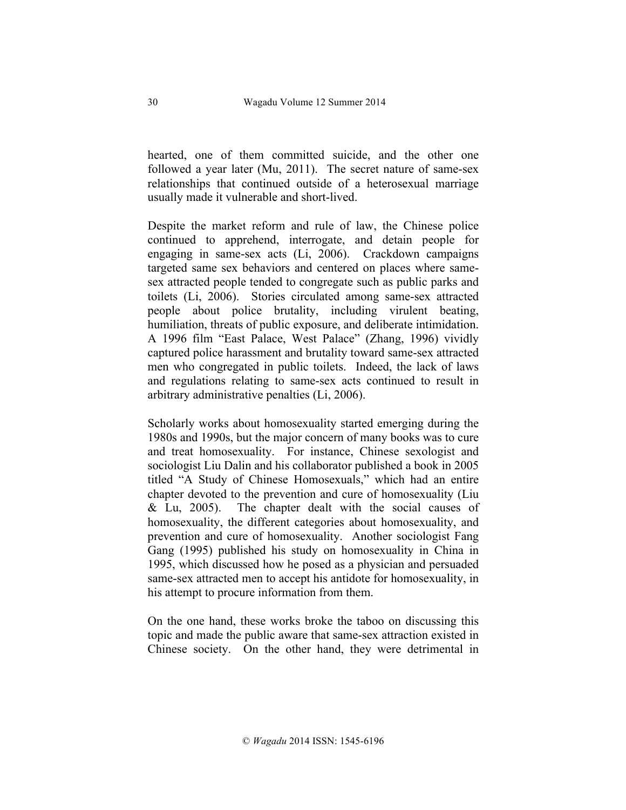hearted, one of them committed suicide, and the other one followed a year later (Mu, 2011). The secret nature of same-sex relationships that continued outside of a heterosexual marriage usually made it vulnerable and short-lived.

Despite the market reform and rule of law, the Chinese police continued to apprehend, interrogate, and detain people for engaging in same-sex acts (Li, 2006). Crackdown campaigns targeted same sex behaviors and centered on places where samesex attracted people tended to congregate such as public parks and toilets (Li, 2006). Stories circulated among same-sex attracted people about police brutality, including virulent beating, humiliation, threats of public exposure, and deliberate intimidation. A 1996 film "East Palace, West Palace" (Zhang, 1996) vividly captured police harassment and brutality toward same-sex attracted men who congregated in public toilets. Indeed, the lack of laws and regulations relating to same-sex acts continued to result in arbitrary administrative penalties (Li, 2006).

Scholarly works about homosexuality started emerging during the 1980s and 1990s, but the major concern of many books was to cure and treat homosexuality. For instance, Chinese sexologist and sociologist Liu Dalin and his collaborator published a book in 2005 titled "A Study of Chinese Homosexuals," which had an entire chapter devoted to the prevention and cure of homosexuality (Liu & Lu, 2005). The chapter dealt with the social causes of homosexuality, the different categories about homosexuality, and prevention and cure of homosexuality. Another sociologist Fang Gang (1995) published his study on homosexuality in China in 1995, which discussed how he posed as a physician and persuaded same-sex attracted men to accept his antidote for homosexuality, in his attempt to procure information from them.

On the one hand, these works broke the taboo on discussing this topic and made the public aware that same-sex attraction existed in Chinese society. On the other hand, they were detrimental in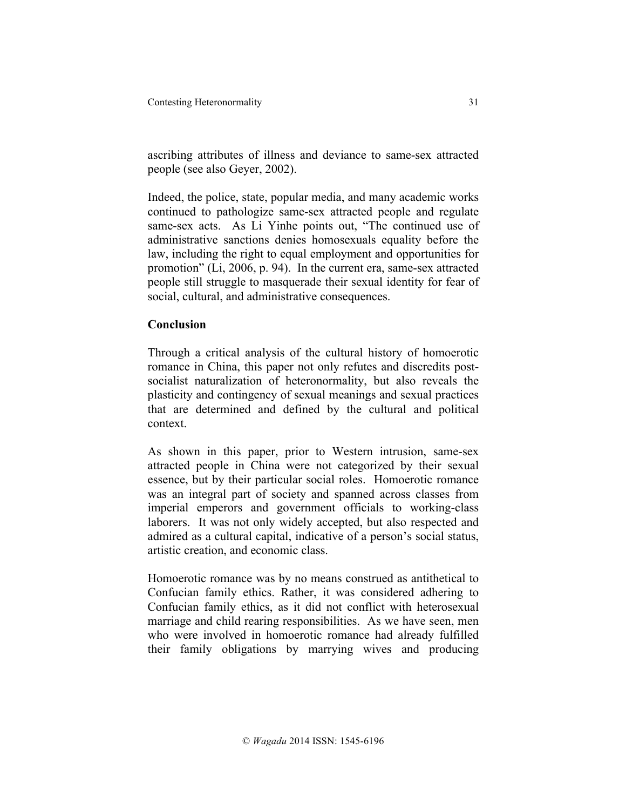ascribing attributes of illness and deviance to same-sex attracted people (see also Geyer, 2002).

Indeed, the police, state, popular media, and many academic works continued to pathologize same-sex attracted people and regulate same-sex acts. As Li Yinhe points out, "The continued use of administrative sanctions denies homosexuals equality before the law, including the right to equal employment and opportunities for promotion" (Li, 2006, p. 94). In the current era, same-sex attracted people still struggle to masquerade their sexual identity for fear of social, cultural, and administrative consequences.

# **Conclusion**

Through a critical analysis of the cultural history of homoerotic romance in China, this paper not only refutes and discredits postsocialist naturalization of heteronormality, but also reveals the plasticity and contingency of sexual meanings and sexual practices that are determined and defined by the cultural and political context.

As shown in this paper, prior to Western intrusion, same-sex attracted people in China were not categorized by their sexual essence, but by their particular social roles. Homoerotic romance was an integral part of society and spanned across classes from imperial emperors and government officials to working-class laborers. It was not only widely accepted, but also respected and admired as a cultural capital, indicative of a person's social status, artistic creation, and economic class.

Homoerotic romance was by no means construed as antithetical to Confucian family ethics. Rather, it was considered adhering to Confucian family ethics, as it did not conflict with heterosexual marriage and child rearing responsibilities. As we have seen, men who were involved in homoerotic romance had already fulfilled their family obligations by marrying wives and producing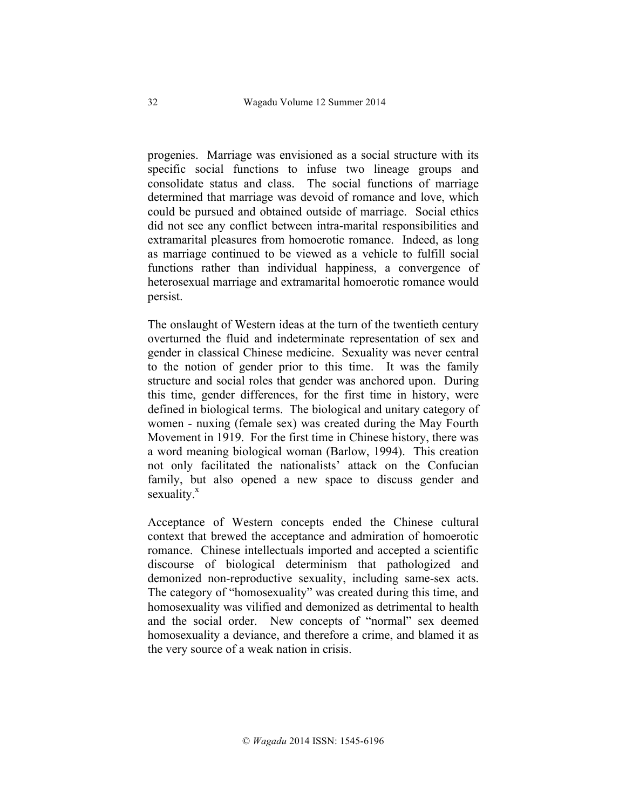progenies. Marriage was envisioned as a social structure with its specific social functions to infuse two lineage groups and consolidate status and class. The social functions of marriage determined that marriage was devoid of romance and love, which could be pursued and obtained outside of marriage. Social ethics did not see any conflict between intra-marital responsibilities and extramarital pleasures from homoerotic romance. Indeed, as long as marriage continued to be viewed as a vehicle to fulfill social functions rather than individual happiness, a convergence of heterosexual marriage and extramarital homoerotic romance would persist.

The onslaught of Western ideas at the turn of the twentieth century overturned the fluid and indeterminate representation of sex and gender in classical Chinese medicine. Sexuality was never central to the notion of gender prior to this time. It was the family structure and social roles that gender was anchored upon. During this time, gender differences, for the first time in history, were defined in biological terms. The biological and unitary category of women - nuxing (female sex) was created during the May Fourth Movement in 1919. For the first time in Chinese history, there was a word meaning biological woman (Barlow, 1994). This creation not only facilitated the nationalists' attack on the Confucian family, but also opened a new space to discuss gender and sexuality. $x^x$ 

Acceptance of Western concepts ended the Chinese cultural context that brewed the acceptance and admiration of homoerotic romance. Chinese intellectuals imported and accepted a scientific discourse of biological determinism that pathologized and demonized non-reproductive sexuality, including same-sex acts. The category of "homosexuality" was created during this time, and homosexuality was vilified and demonized as detrimental to health and the social order. New concepts of "normal" sex deemed homosexuality a deviance, and therefore a crime, and blamed it as the very source of a weak nation in crisis.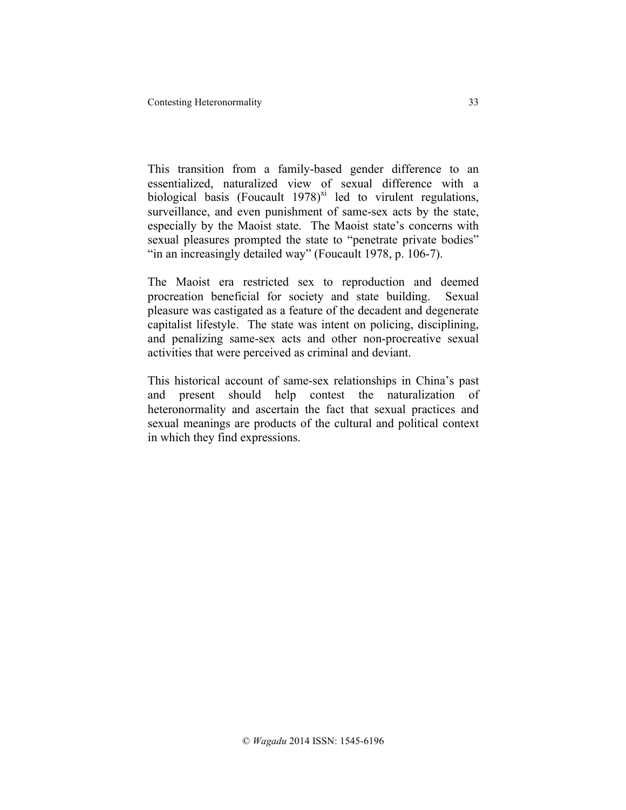This transition from a family-based gender difference to an essentialized, naturalized view of sexual difference with a biological basis (Foucault  $1978$ )<sup>xi</sup> led to virulent regulations, surveillance, and even punishment of same-sex acts by the state, especially by the Maoist state. The Maoist state's concerns with sexual pleasures prompted the state to "penetrate private bodies" "in an increasingly detailed way" (Foucault 1978, p. 106-7).

The Maoist era restricted sex to reproduction and deemed procreation beneficial for society and state building. Sexual pleasure was castigated as a feature of the decadent and degenerate capitalist lifestyle. The state was intent on policing, disciplining, and penalizing same-sex acts and other non-procreative sexual activities that were perceived as criminal and deviant.

This historical account of same-sex relationships in China's past and present should help contest the naturalization of heteronormality and ascertain the fact that sexual practices and sexual meanings are products of the cultural and political context in which they find expressions.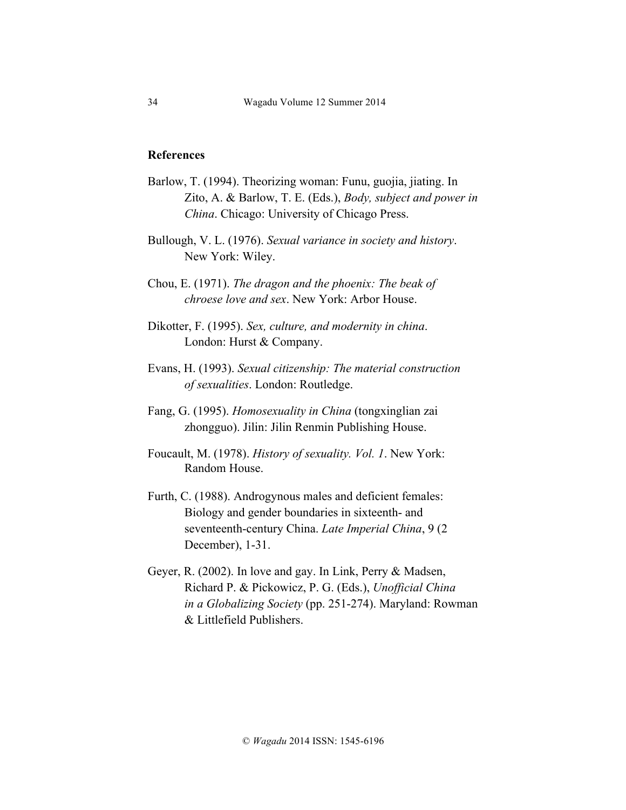### **References**

- Barlow, T. (1994). Theorizing woman: Funu, guojia, jiating. In Zito, A. & Barlow, T. E. (Eds.), *Body, subject and power in China*. Chicago: University of Chicago Press.
- Bullough, V. L. (1976). *Sexual variance in society and history*. New York: Wiley.

Chou, E. (1971). *The dragon and the phoenix: The beak of chroese love and sex*. New York: Arbor House.

- Dikotter, F. (1995). *Sex, culture, and modernity in china*. London: Hurst & Company.
- Evans, H. (1993). *Sexual citizenship: The material construction of sexualities*. London: Routledge.
- Fang, G. (1995). *Homosexuality in China* (tongxinglian zai zhongguo). Jilin: Jilin Renmin Publishing House.
- Foucault, M. (1978). *History of sexuality. Vol. 1*. New York: Random House.
- Furth, C. (1988). Androgynous males and deficient females: Biology and gender boundaries in sixteenth- and seventeenth-century China. *Late Imperial China*, 9 (2 December), 1-31.
- Geyer, R. (2002). In love and gay. In Link, Perry & Madsen, Richard P. & Pickowicz, P. G. (Eds.), *Unofficial China in a Globalizing Society* (pp. 251-274). Maryland: Rowman & Littlefield Publishers.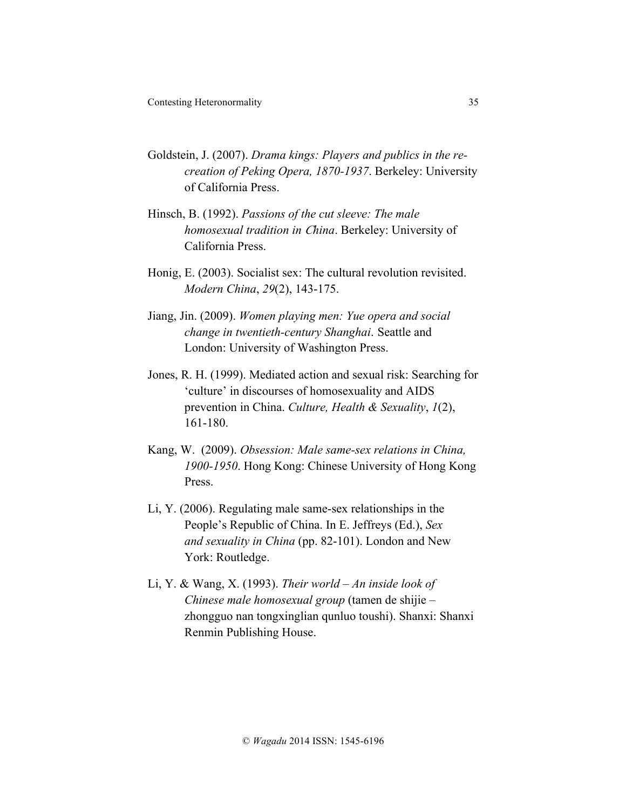- Goldstein, J. (2007). *Drama kings: Players and publics in the recreation of Peking Opera, 1870-1937*. Berkeley: University of California Press.
- Hinsch, B. (1992). *Passions of the cut sleeve: The male homosexual tradition in China*. Berkeley: University of California Press.
- Honig, E. (2003). Socialist sex: The cultural revolution revisited. *Modern China*, *29*(2), 143-175.
- Jiang, Jin. (2009). *Women playing men: Yue opera and social change in twentieth-century Shanghai*. Seattle and London: University of Washington Press.
- Jones, R. H. (1999). Mediated action and sexual risk: Searching for 'culture' in discourses of homosexuality and AIDS prevention in China. *Culture, Health & Sexuality*, *1*(2), 161-180.
- Kang, W. (2009). *Obsession: Male same-sex relations in China, 1900-1950*. Hong Kong: Chinese University of Hong Kong Press.
- Li, Y. (2006). Regulating male same-sex relationships in the People's Republic of China. In E. Jeffreys (Ed.), *Sex and sexuality in China* (pp. 82-101). London and New York: Routledge.
- Li, Y. & Wang, X. (1993). *Their world – An inside look of Chinese male homosexual group* (tamen de shijie – zhongguo nan tongxinglian qunluo toushi). Shanxi: Shanxi Renmin Publishing House.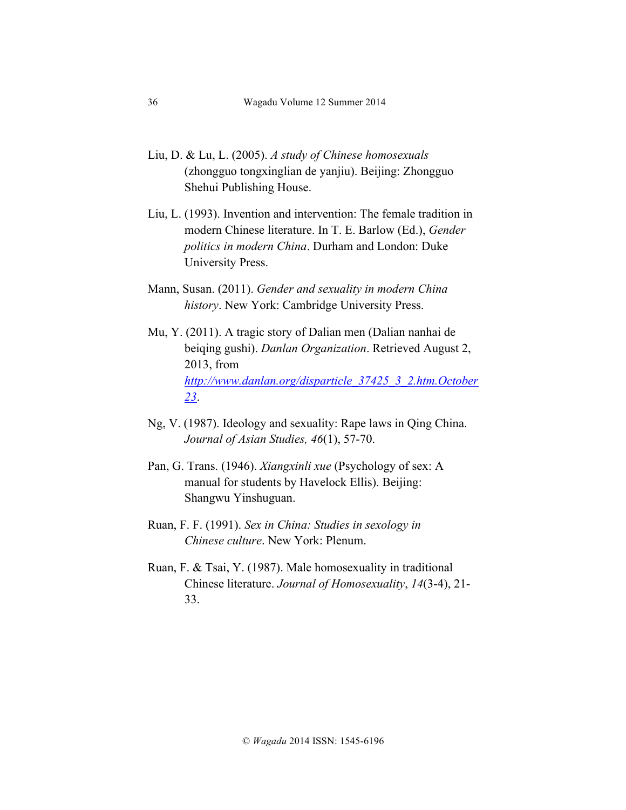- Liu, D. & Lu, L. (2005). *A study of Chinese homosexuals* (zhongguo tongxinglian de yanjiu). Beijing: Zhongguo Shehui Publishing House.
- Liu, L. (1993). Invention and intervention: The female tradition in modern Chinese literature. In T. E. Barlow (Ed.), *Gender politics in modern China*. Durham and London: Duke University Press.
- Mann, Susan. (2011). *Gender and sexuality in modern China history*. New York: Cambridge University Press.
- Mu, Y. (2011). A tragic story of Dalian men (Dalian nanhai de beiqing gushi). *Danlan Organization*. Retrieved August 2, 2013, from *http://www.danlan.org/disparticle\_37425\_3\_2.htm.October 23*.
- Ng, V. (1987). Ideology and sexuality: Rape laws in Qing China. *Journal of Asian Studies, 46*(1), 57-70.
- Pan, G. Trans. (1946). *Xiangxinli xue* (Psychology of sex: A manual for students by Havelock Ellis). Beijing: Shangwu Yinshuguan.
- Ruan, F. F. (1991). *Sex in China: Studies in sexology in Chinese culture*. New York: Plenum.
- Ruan, F. & Tsai, Y. (1987). Male homosexuality in traditional Chinese literature. *Journal of Homosexuality*, *14*(3-4), 21- 33.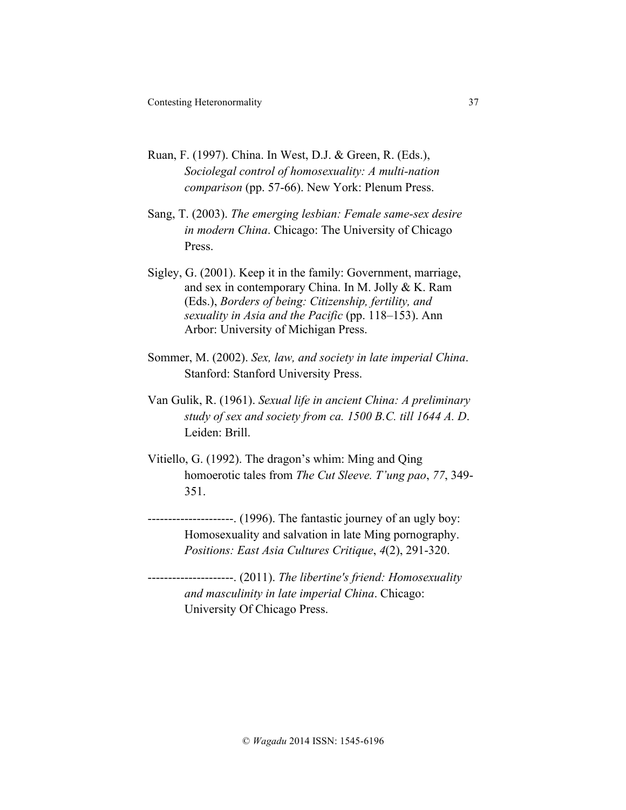- Ruan, F. (1997). China. In West, D.J. & Green, R. (Eds.), *Sociolegal control of homosexuality: A multi-nation comparison* (pp. 57-66). New York: Plenum Press.
- Sang, T. (2003). *The emerging lesbian: Female same-sex desire in modern China*. Chicago: The University of Chicago Press.
- Sigley, G. (2001). Keep it in the family: Government, marriage, and sex in contemporary China. In M. Jolly & K. Ram (Eds.), *Borders of being: Citizenship, fertility, and sexuality in Asia and the Pacific* (pp. 118–153). Ann Arbor: University of Michigan Press.
- Sommer, M. (2002). *Sex, law, and society in late imperial China*. Stanford: Stanford University Press.
- Van Gulik, R. (1961). *Sexual life in ancient China: A preliminary study of sex and society from ca. 1500 B.C. till 1644 A. D*. Leiden: Brill.
- Vitiello, G. (1992). The dragon's whim: Ming and Qing homoerotic tales from *The Cut Sleeve. T'ung pao*, *77*, 349- 351.
- $\frac{1}{2}$ --------------. (1996). The fantastic journey of an ugly boy: Homosexuality and salvation in late Ming pornography. *Positions: East Asia Cultures Critique*, *4*(2), 291-320.
- ---------------------. (2011). *The libertine's friend: Homosexuality and masculinity in late imperial China*. Chicago: University Of Chicago Press.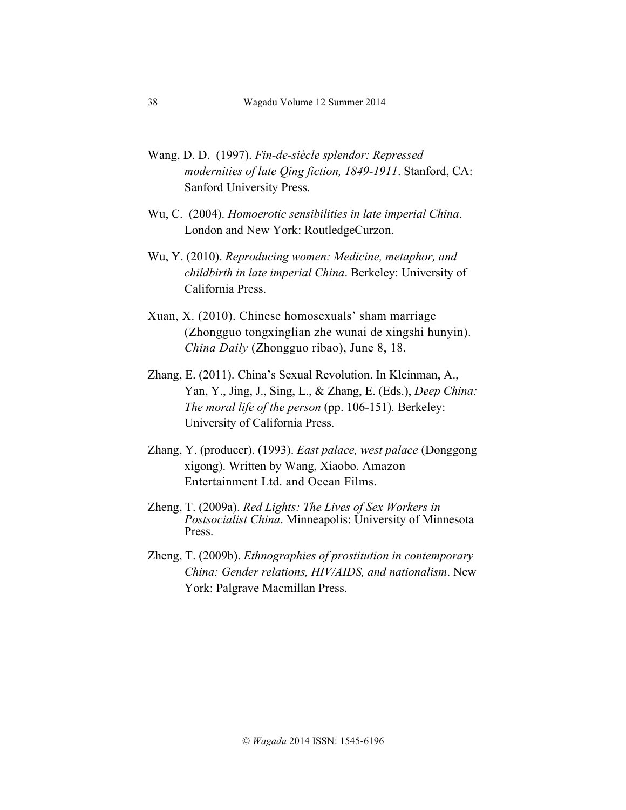- Wang, D. D. (1997). *Fin-de-siècle splendor: Repressed modernities of late Qing fiction, 1849-1911*. Stanford, CA: Sanford University Press.
- Wu, C. (2004). *Homoerotic sensibilities in late imperial China*. London and New York: RoutledgeCurzon.
- Wu, Y. (2010). *Reproducing women: Medicine, metaphor, and childbirth in late imperial China*. Berkeley: University of California Press.
- Xuan, X. (2010). Chinese homosexuals' sham marriage (Zhongguo tongxinglian zhe wunai de xingshi hunyin). *China Daily* (Zhongguo ribao), June 8, 18.
- Zhang, E. (2011). China's Sexual Revolution. In Kleinman, A., Yan, Y., Jing, J., Sing, L., & Zhang, E. (Eds.), *Deep China: The moral life of the person* (pp. 106-151). Berkeley: University of California Press.
- Zhang, Y. (producer). (1993). *East palace, west palace* (Donggong xigong). Written by Wang, Xiaobo. Amazon Entertainment Ltd. and Ocean Films.
- Zheng, T. (2009a). *Red Lights: The Lives of Sex Workers in Postsocialist China*. Minneapolis: University of Minnesota Press.
- Zheng, T. (2009b). *Ethnographies of prostitution in contemporary China: Gender relations, HIV/AIDS, and nationalism*. New York: Palgrave Macmillan Press.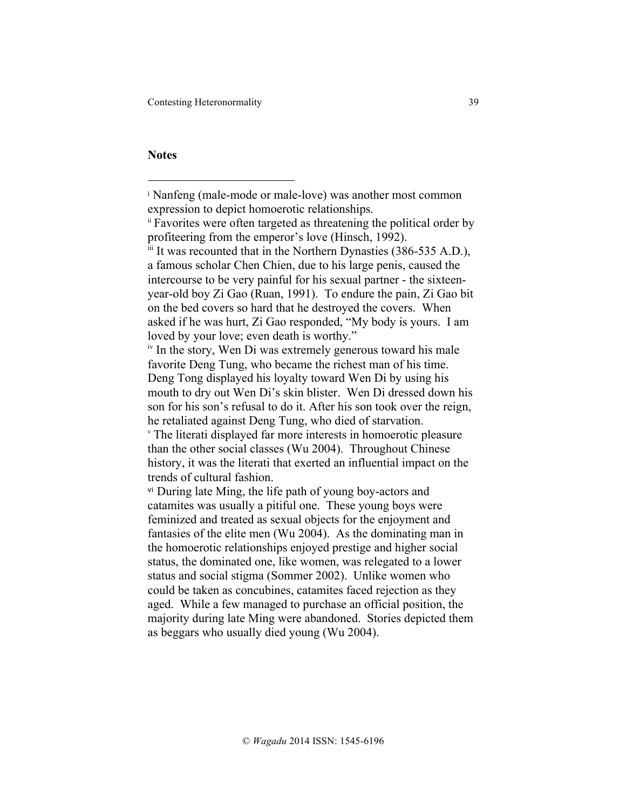Contesting Heteronormality 39

## **Notes**

<sup>i</sup> Nanfeng (male-mode or male-love) was another most common expression to depict homoerotic relationships.

ii Favorites were often targeted as threatening the political order by profiteering from the emperor's love (Hinsch, 1992).

 $\ddot{h}$  It was recounted that in the Northern Dynasties (386-535 A.D.), a famous scholar Chen Chien, due to his large penis, caused the intercourse to be very painful for his sexual partner - the sixteenyear-old boy Zi Gao (Ruan, 1991). To endure the pain, Zi Gao bit on the bed covers so hard that he destroyed the covers. When asked if he was hurt, Zi Gao responded, "My body is yours. I am loved by your love; even death is worthy."

<sup>&</sup>lt;sup>iv</sup> In the story, Wen Di was extremely generous toward his male favorite Deng Tung, who became the richest man of his time. Deng Tong displayed his loyalty toward Wen Di by using his mouth to dry out Wen Di's skin blister. Wen Di dressed down his son for his son's refusal to do it. After his son took over the reign, he retaliated against Deng Tung, who died of starvation. <sup>v</sup> The literati displayed far more interests in homoerotic pleasure than the other social classes (Wu 2004). Throughout Chinese history, it was the literati that exerted an influential impact on the trends of cultural fashion.

vi During late Ming, the life path of young boy-actors and catamites was usually a pitiful one. These young boys were feminized and treated as sexual objects for the enjoyment and fantasies of the elite men (Wu 2004). As the dominating man in the homoerotic relationships enjoyed prestige and higher social status, the dominated one, like women, was relegated to a lower status and social stigma (Sommer 2002). Unlike women who could be taken as concubines, catamites faced rejection as they aged. While a few managed to purchase an official position, the majority during late Ming were abandoned. Stories depicted them as beggars who usually died young (Wu 2004).